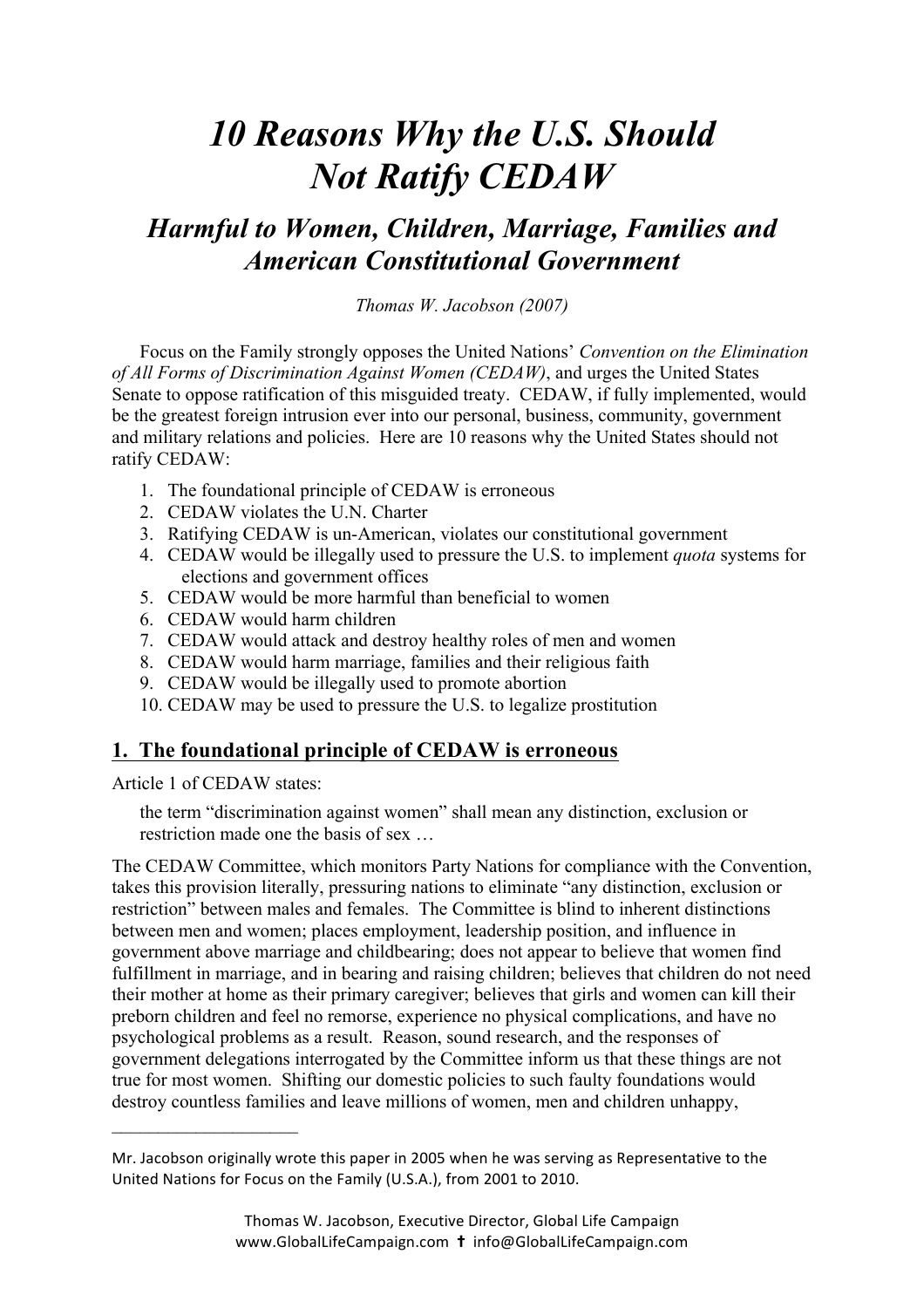# *10 Reasons Why the U.S. Should Not Ratify CEDAW*

## *Harmful to Women, Children, Marriage, Families and American Constitutional Government*

*Thomas W. Jacobson (2007)* 

Focus on the Family strongly opposes the United Nations' *Convention on the Elimination of All Forms of Discrimination Against Women (CEDAW)*, and urges the United States Senate to oppose ratification of this misguided treaty. CEDAW, if fully implemented, would be the greatest foreign intrusion ever into our personal, business, community, government and military relations and policies. Here are 10 reasons why the United States should not ratify CEDAW:

- 1. The foundational principle of CEDAW is erroneous
- 2. CEDAW violates the U.N. Charter
- 3. Ratifying CEDAW is un-American, violates our constitutional government
- 4. CEDAW would be illegally used to pressure the U.S. to implement *quota* systems for elections and government offices
- 5. CEDAW would be more harmful than beneficial to women
- 6. CEDAW would harm children
- 7. CEDAW would attack and destroy healthy roles of men and women
- 8. CEDAW would harm marriage, families and their religious faith
- 9. CEDAW would be illegally used to promote abortion
- 10. CEDAW may be used to pressure the U.S. to legalize prostitution

## **1. The foundational principle of CEDAW is erroneous**

Article 1 of CEDAW states:

 $\mathcal{L}_\text{max}$  , where  $\mathcal{L}_\text{max}$  , we have the set of the set of the set of the set of the set of the set of the set of the set of the set of the set of the set of the set of the set of the set of the set of the set of

the term "discrimination against women" shall mean any distinction, exclusion or restriction made one the basis of sex …

The CEDAW Committee, which monitors Party Nations for compliance with the Convention, takes this provision literally, pressuring nations to eliminate "any distinction, exclusion or restriction" between males and females. The Committee is blind to inherent distinctions between men and women; places employment, leadership position, and influence in government above marriage and childbearing; does not appear to believe that women find fulfillment in marriage, and in bearing and raising children; believes that children do not need their mother at home as their primary caregiver; believes that girls and women can kill their preborn children and feel no remorse, experience no physical complications, and have no psychological problems as a result. Reason, sound research, and the responses of government delegations interrogated by the Committee inform us that these things are not true for most women. Shifting our domestic policies to such faulty foundations would destroy countless families and leave millions of women, men and children unhappy,

Mr. Jacobson originally wrote this paper in 2005 when he was serving as Representative to the United Nations for Focus on the Family (U.S.A.), from 2001 to 2010.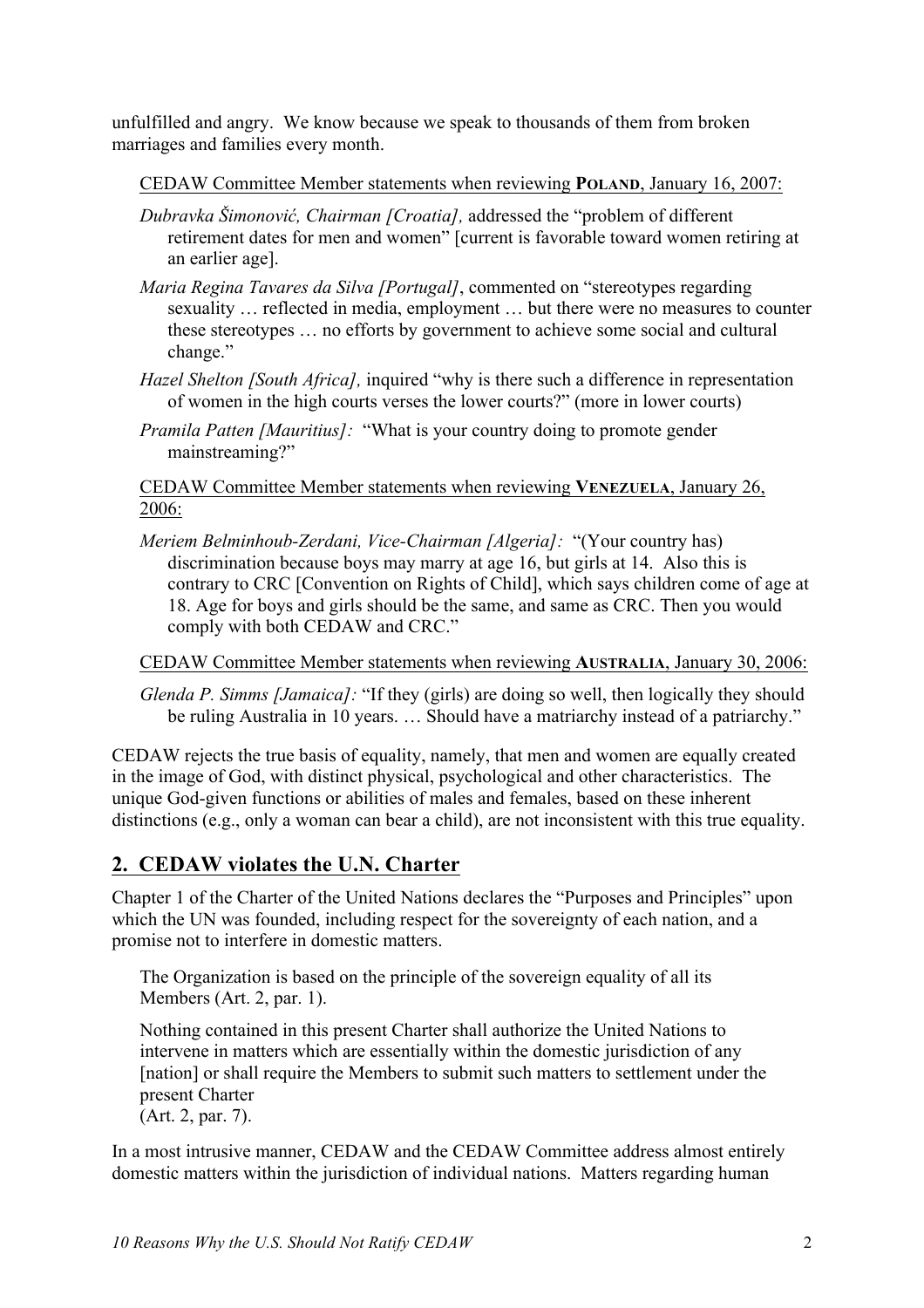unfulfilled and angry. We know because we speak to thousands of them from broken marriages and families every month.

CEDAW Committee Member statements when reviewing **POLAND**, January 16, 2007:

- *Dubravka Šimonović, Chairman [Croatia],* addressed the "problem of different retirement dates for men and women" [current is favorable toward women retiring at an earlier age].
- *Maria Regina Tavares da Silva [Portugal]*, commented on "stereotypes regarding sexuality … reflected in media, employment … but there were no measures to counter these stereotypes … no efforts by government to achieve some social and cultural change."
- *Hazel Shelton [South Africa],* inquired "why is there such a difference in representation of women in the high courts verses the lower courts?" (more in lower courts)
- *Pramila Patten [Mauritius]:* "What is your country doing to promote gender mainstreaming?"

CEDAW Committee Member statements when reviewing **VENEZUELA**, January 26, 2006:

*Meriem Belminhoub-Zerdani, Vice-Chairman [Algeria]:* "(Your country has) discrimination because boys may marry at age 16, but girls at 14. Also this is contrary to CRC [Convention on Rights of Child], which says children come of age at 18. Age for boys and girls should be the same, and same as CRC. Then you would comply with both CEDAW and CRC."

CEDAW Committee Member statements when reviewing **AUSTRALIA**, January 30, 2006:

*Glenda P. Simms [Jamaica]:* "If they (girls) are doing so well, then logically they should be ruling Australia in 10 years. … Should have a matriarchy instead of a patriarchy."

CEDAW rejects the true basis of equality, namely, that men and women are equally created in the image of God, with distinct physical, psychological and other characteristics. The unique God-given functions or abilities of males and females, based on these inherent distinctions (e.g., only a woman can bear a child), are not inconsistent with this true equality.

## **2. CEDAW violates the U.N. Charter**

Chapter 1 of the Charter of the United Nations declares the "Purposes and Principles" upon which the UN was founded, including respect for the sovereignty of each nation, and a promise not to interfere in domestic matters.

The Organization is based on the principle of the sovereign equality of all its Members (Art. 2, par. 1).

Nothing contained in this present Charter shall authorize the United Nations to intervene in matters which are essentially within the domestic jurisdiction of any [nation] or shall require the Members to submit such matters to settlement under the present Charter (Art. 2, par. 7).

In a most intrusive manner, CEDAW and the CEDAW Committee address almost entirely domestic matters within the jurisdiction of individual nations. Matters regarding human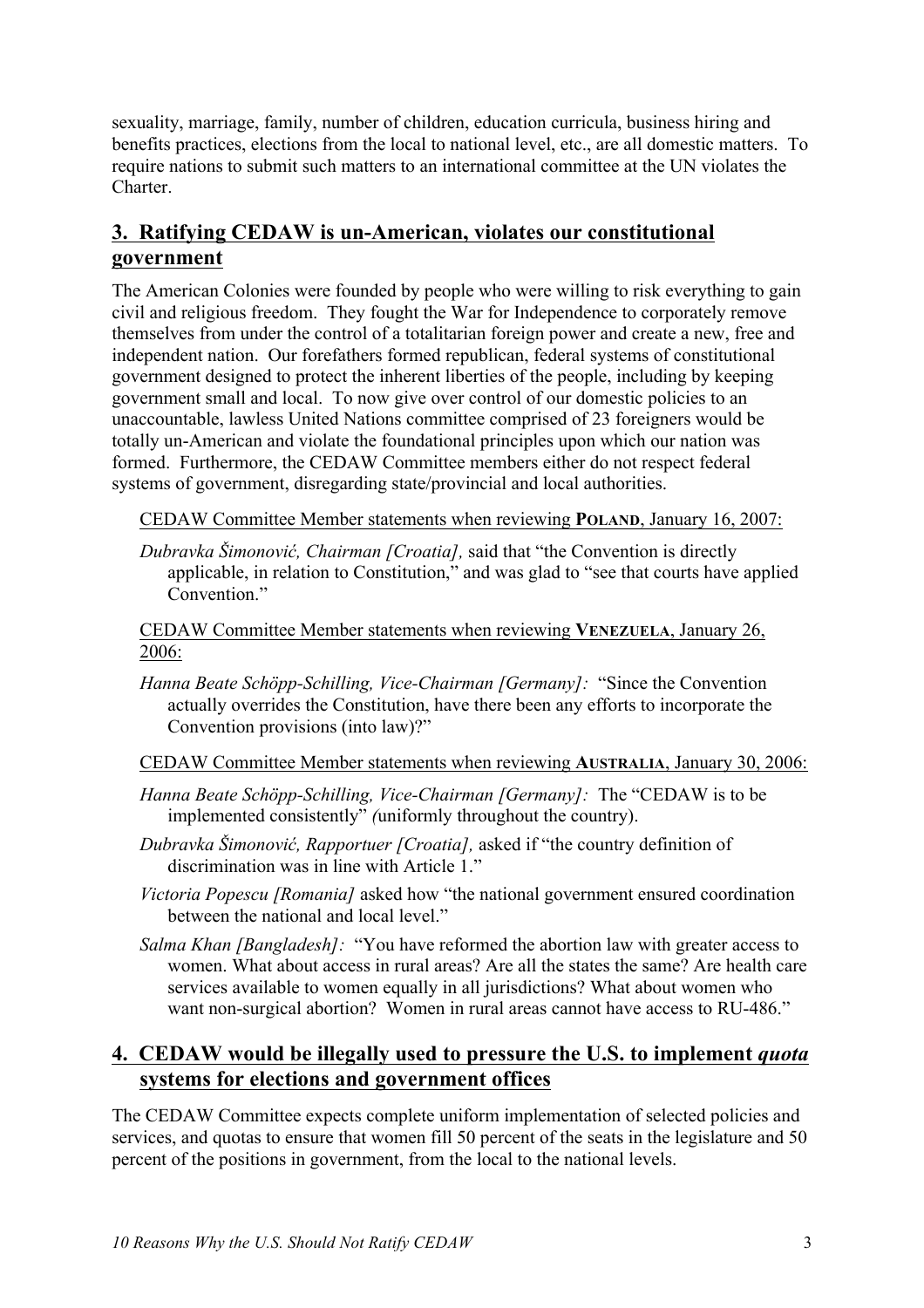sexuality, marriage, family, number of children, education curricula, business hiring and benefits practices, elections from the local to national level, etc., are all domestic matters. To require nations to submit such matters to an international committee at the UN violates the Charter.

## **3. Ratifying CEDAW is un-American, violates our constitutional government**

The American Colonies were founded by people who were willing to risk everything to gain civil and religious freedom. They fought the War for Independence to corporately remove themselves from under the control of a totalitarian foreign power and create a new, free and independent nation. Our forefathers formed republican, federal systems of constitutional government designed to protect the inherent liberties of the people, including by keeping government small and local. To now give over control of our domestic policies to an unaccountable, lawless United Nations committee comprised of 23 foreigners would be totally un-American and violate the foundational principles upon which our nation was formed. Furthermore, the CEDAW Committee members either do not respect federal systems of government, disregarding state/provincial and local authorities.

CEDAW Committee Member statements when reviewing **POLAND**, January 16, 2007:

*Dubravka Šimonović, Chairman [Croatia],* said that "the Convention is directly applicable, in relation to Constitution," and was glad to "see that courts have applied Convention<sup>"</sup>

CEDAW Committee Member statements when reviewing **VENEZUELA**, January 26, 2006:

*Hanna Beate Schöpp-Schilling, Vice-Chairman [Germany]:* "Since the Convention actually overrides the Constitution, have there been any efforts to incorporate the Convention provisions (into law)?"

CEDAW Committee Member statements when reviewing **AUSTRALIA**, January 30, 2006:

- *Hanna Beate Schöpp-Schilling, Vice-Chairman [Germany]:* The "CEDAW is to be implemented consistently" *(*uniformly throughout the country).
- *Dubravka Šimonović, Rapportuer [Croatia],* asked if "the country definition of discrimination was in line with Article 1."
- *Victoria Popescu [Romania]* asked how "the national government ensured coordination between the national and local level."
- *Salma Khan [Bangladesh]:* "You have reformed the abortion law with greater access to women. What about access in rural areas? Are all the states the same? Are health care services available to women equally in all jurisdictions? What about women who want non-surgical abortion? Women in rural areas cannot have access to RU-486."

## **4. CEDAW would be illegally used to pressure the U.S. to implement** *quota* **systems for elections and government offices**

The CEDAW Committee expects complete uniform implementation of selected policies and services, and quotas to ensure that women fill 50 percent of the seats in the legislature and 50 percent of the positions in government, from the local to the national levels.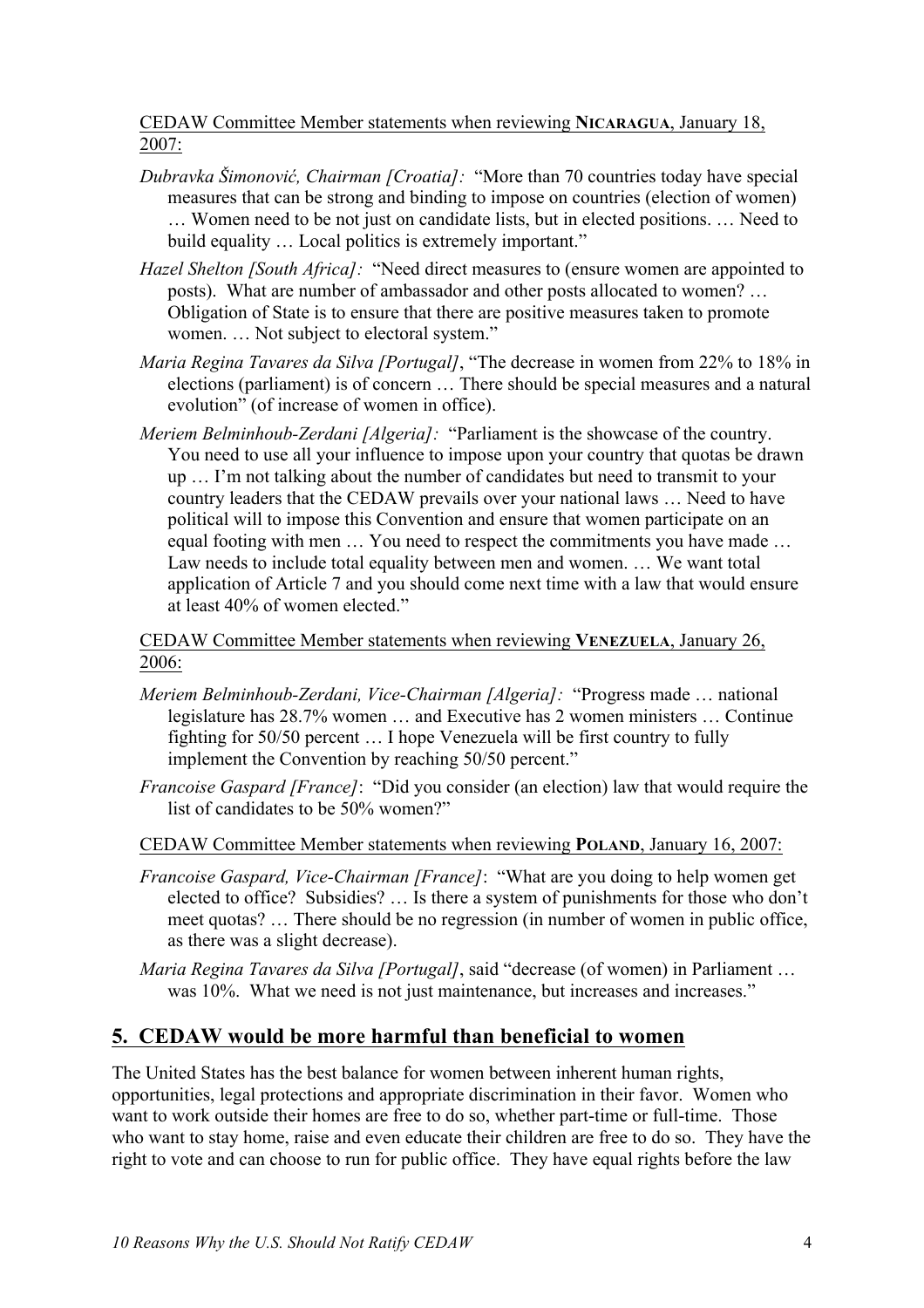## CEDAW Committee Member statements when reviewing **NICARAGUA**, January 18, 2007:

- *Dubravka Šimonović, Chairman [Croatia]:* "More than 70 countries today have special measures that can be strong and binding to impose on countries (election of women) … Women need to be not just on candidate lists, but in elected positions. … Need to build equality … Local politics is extremely important."
- *Hazel Shelton [South Africa]:* "Need direct measures to (ensure women are appointed to posts). What are number of ambassador and other posts allocated to women? … Obligation of State is to ensure that there are positive measures taken to promote women. … Not subject to electoral system."
- *Maria Regina Tavares da Silva [Portugal]*, "The decrease in women from 22% to 18% in elections (parliament) is of concern … There should be special measures and a natural evolution" (of increase of women in office).
- *Meriem Belminhoub-Zerdani [Algeria]:* "Parliament is the showcase of the country. You need to use all your influence to impose upon your country that quotas be drawn up … I'm not talking about the number of candidates but need to transmit to your country leaders that the CEDAW prevails over your national laws … Need to have political will to impose this Convention and ensure that women participate on an equal footing with men … You need to respect the commitments you have made … Law needs to include total equality between men and women. … We want total application of Article 7 and you should come next time with a law that would ensure at least 40% of women elected."

CEDAW Committee Member statements when reviewing **VENEZUELA**, January 26, 2006:

- *Meriem Belminhoub-Zerdani, Vice-Chairman [Algeria]:* "Progress made … national legislature has 28.7% women … and Executive has 2 women ministers … Continue fighting for 50/50 percent … I hope Venezuela will be first country to fully implement the Convention by reaching 50/50 percent."
- *Francoise Gaspard [France]*: "Did you consider (an election) law that would require the list of candidates to be 50% women?"
- CEDAW Committee Member statements when reviewing **POLAND**, January 16, 2007:
- *Francoise Gaspard, Vice-Chairman [France]*: "What are you doing to help women get elected to office? Subsidies? … Is there a system of punishments for those who don't meet quotas? … There should be no regression (in number of women in public office, as there was a slight decrease).
- *Maria Regina Tavares da Silva [Portugal]*, said "decrease (of women) in Parliament … was 10%. What we need is not just maintenance, but increases and increases."

## **5. CEDAW would be more harmful than beneficial to women**

The United States has the best balance for women between inherent human rights, opportunities, legal protections and appropriate discrimination in their favor. Women who want to work outside their homes are free to do so, whether part-time or full-time. Those who want to stay home, raise and even educate their children are free to do so. They have the right to vote and can choose to run for public office. They have equal rights before the law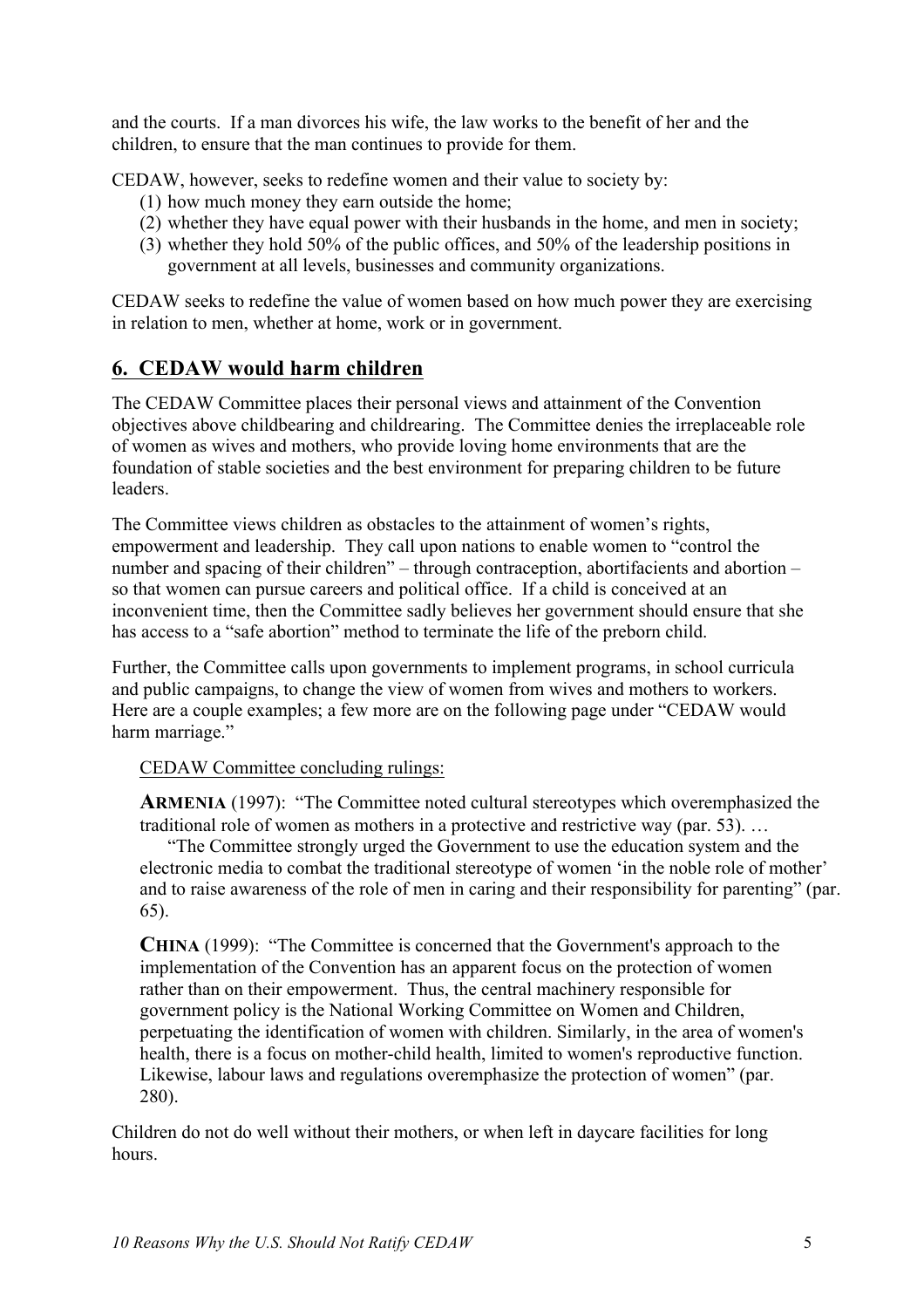and the courts. If a man divorces his wife, the law works to the benefit of her and the children, to ensure that the man continues to provide for them.

CEDAW, however, seeks to redefine women and their value to society by:

- (1) how much money they earn outside the home;
- (2) whether they have equal power with their husbands in the home, and men in society;
- (3) whether they hold 50% of the public offices, and 50% of the leadership positions in government at all levels, businesses and community organizations.

CEDAW seeks to redefine the value of women based on how much power they are exercising in relation to men, whether at home, work or in government.

## **6. CEDAW would harm children**

The CEDAW Committee places their personal views and attainment of the Convention objectives above childbearing and childrearing. The Committee denies the irreplaceable role of women as wives and mothers, who provide loving home environments that are the foundation of stable societies and the best environment for preparing children to be future leaders.

The Committee views children as obstacles to the attainment of women's rights, empowerment and leadership. They call upon nations to enable women to "control the number and spacing of their children" – through contraception, abortifacients and abortion – so that women can pursue careers and political office. If a child is conceived at an inconvenient time, then the Committee sadly believes her government should ensure that she has access to a "safe abortion" method to terminate the life of the preborn child.

Further, the Committee calls upon governments to implement programs, in school curricula and public campaigns, to change the view of women from wives and mothers to workers. Here are a couple examples; a few more are on the following page under "CEDAW would harm marriage."

## CEDAW Committee concluding rulings:

**ARMENIA** (1997): "The Committee noted cultural stereotypes which overemphasized the traditional role of women as mothers in a protective and restrictive way (par. 53). …

"The Committee strongly urged the Government to use the education system and the electronic media to combat the traditional stereotype of women 'in the noble role of mother' and to raise awareness of the role of men in caring and their responsibility for parenting" (par. 65).

**CHINA** (1999): "The Committee is concerned that the Government's approach to the implementation of the Convention has an apparent focus on the protection of women rather than on their empowerment. Thus, the central machinery responsible for government policy is the National Working Committee on Women and Children, perpetuating the identification of women with children. Similarly, in the area of women's health, there is a focus on mother-child health, limited to women's reproductive function. Likewise, labour laws and regulations overemphasize the protection of women" (par. 280).

Children do not do well without their mothers, or when left in daycare facilities for long hours.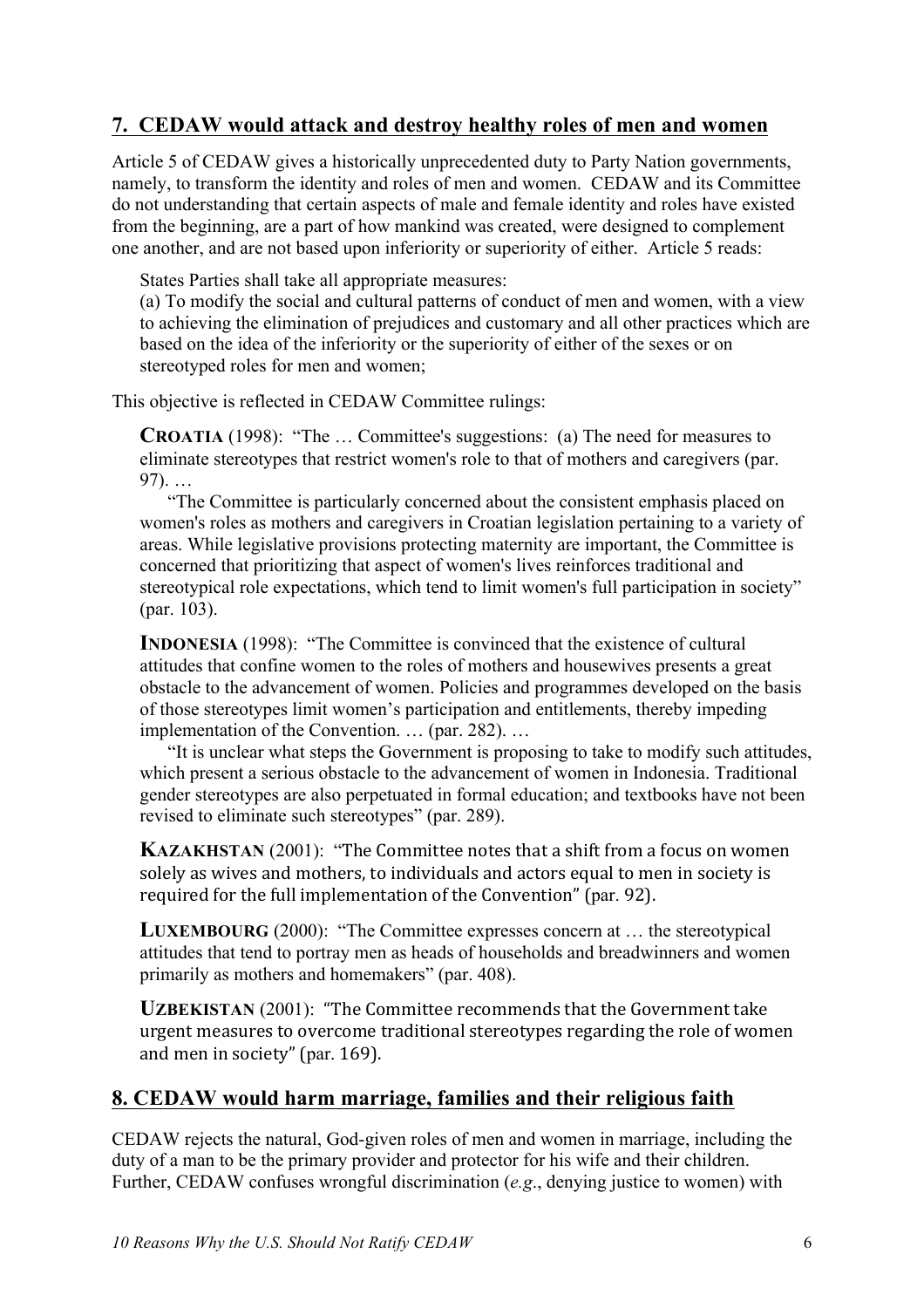## **7. CEDAW would attack and destroy healthy roles of men and women**

Article 5 of CEDAW gives a historically unprecedented duty to Party Nation governments, namely, to transform the identity and roles of men and women. CEDAW and its Committee do not understanding that certain aspects of male and female identity and roles have existed from the beginning, are a part of how mankind was created, were designed to complement one another, and are not based upon inferiority or superiority of either. Article 5 reads:

States Parties shall take all appropriate measures:

(a) To modify the social and cultural patterns of conduct of men and women, with a view to achieving the elimination of prejudices and customary and all other practices which are based on the idea of the inferiority or the superiority of either of the sexes or on stereotyped roles for men and women;

This objective is reflected in CEDAW Committee rulings:

**CROATIA** (1998): "The … Committee's suggestions: (a) The need for measures to eliminate stereotypes that restrict women's role to that of mothers and caregivers (par. 97). …

"The Committee is particularly concerned about the consistent emphasis placed on women's roles as mothers and caregivers in Croatian legislation pertaining to a variety of areas. While legislative provisions protecting maternity are important, the Committee is concerned that prioritizing that aspect of women's lives reinforces traditional and stereotypical role expectations, which tend to limit women's full participation in society" (par. 103).

**INDONESIA** (1998): "The Committee is convinced that the existence of cultural attitudes that confine women to the roles of mothers and housewives presents a great obstacle to the advancement of women. Policies and programmes developed on the basis of those stereotypes limit women's participation and entitlements, thereby impeding implementation of the Convention. … (par. 282). …

"It is unclear what steps the Government is proposing to take to modify such attitudes, which present a serious obstacle to the advancement of women in Indonesia. Traditional gender stereotypes are also perpetuated in formal education; and textbooks have not been revised to eliminate such stereotypes" (par. 289).

**KAZAKHSTAN** (2001): "The Committee notes that a shift from a focus on women solely as wives and mothers, to individuals and actors equal to men in society is required for the full implementation of the Convention" (par. 92).

**LUXEMBOURG** (2000): "The Committee expresses concern at … the stereotypical attitudes that tend to portray men as heads of households and breadwinners and women primarily as mothers and homemakers" (par. 408).

**UZBEKISTAN** (2001): "The Committee recommends that the Government take urgent measures to overcome traditional stereotypes regarding the role of women and men in society" (par. 169).

## **8. CEDAW would harm marriage, families and their religious faith**

CEDAW rejects the natural, God-given roles of men and women in marriage, including the duty of a man to be the primary provider and protector for his wife and their children. Further, CEDAW confuses wrongful discrimination (*e.g*., denying justice to women) with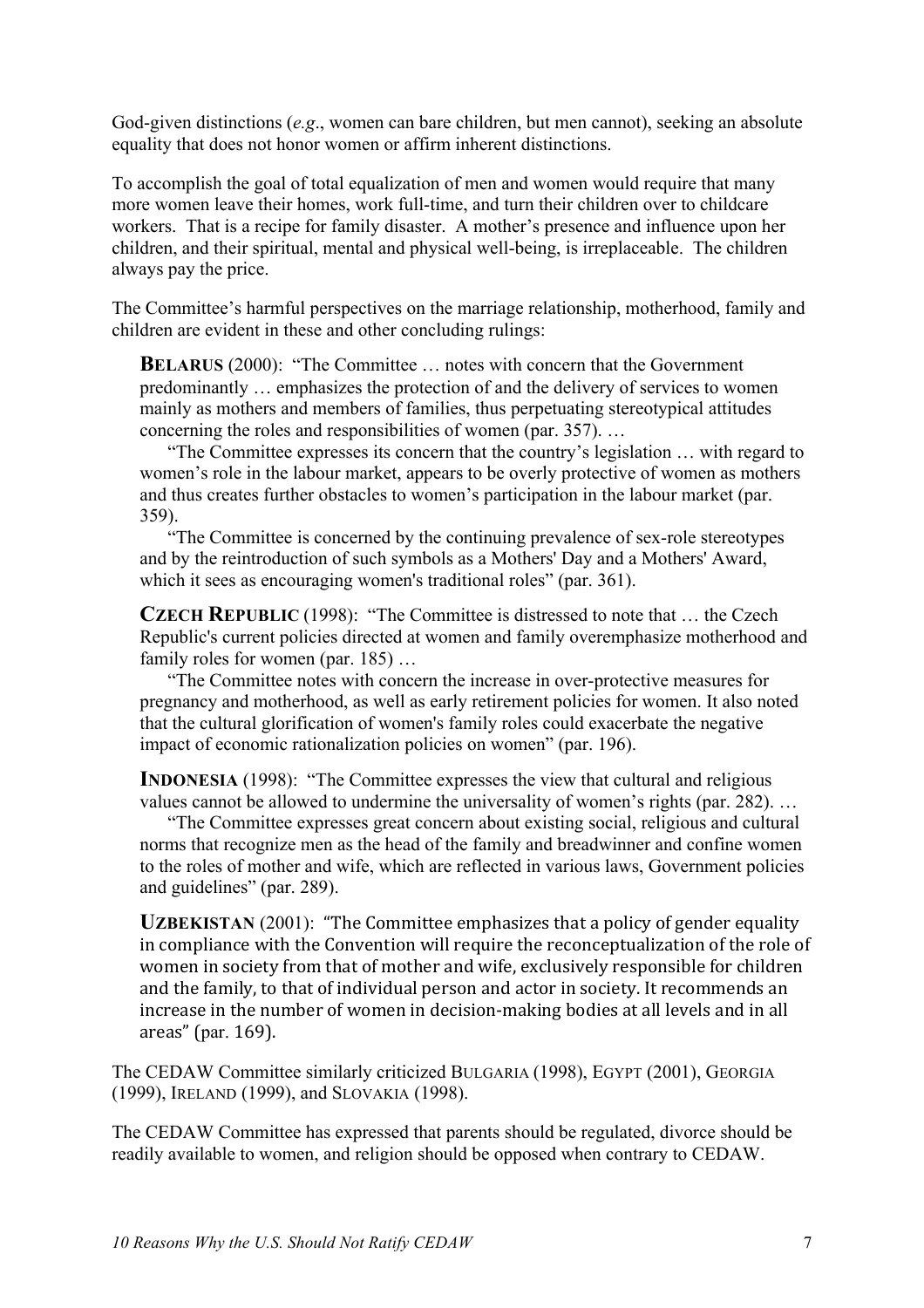God-given distinctions (*e.g*., women can bare children, but men cannot), seeking an absolute equality that does not honor women or affirm inherent distinctions.

To accomplish the goal of total equalization of men and women would require that many more women leave their homes, work full-time, and turn their children over to childcare workers. That is a recipe for family disaster. A mother's presence and influence upon her children, and their spiritual, mental and physical well-being, is irreplaceable. The children always pay the price.

The Committee's harmful perspectives on the marriage relationship, motherhood, family and children are evident in these and other concluding rulings:

**BELARUS** (2000): "The Committee ... notes with concern that the Government predominantly … emphasizes the protection of and the delivery of services to women mainly as mothers and members of families, thus perpetuating stereotypical attitudes concerning the roles and responsibilities of women (par. 357). …

"The Committee expresses its concern that the country's legislation … with regard to women's role in the labour market, appears to be overly protective of women as mothers and thus creates further obstacles to women's participation in the labour market (par. 359).

"The Committee is concerned by the continuing prevalence of sex-role stereotypes and by the reintroduction of such symbols as a Mothers' Day and a Mothers' Award, which it sees as encouraging women's traditional roles" (par. 361).

**CZECH REPUBLIC** (1998): "The Committee is distressed to note that … the Czech Republic's current policies directed at women and family overemphasize motherhood and family roles for women (par. 185) ...

"The Committee notes with concern the increase in over-protective measures for pregnancy and motherhood, as well as early retirement policies for women. It also noted that the cultural glorification of women's family roles could exacerbate the negative impact of economic rationalization policies on women" (par. 196).

**INDONESIA** (1998): "The Committee expresses the view that cultural and religious values cannot be allowed to undermine the universality of women's rights (par. 282). …

"The Committee expresses great concern about existing social, religious and cultural norms that recognize men as the head of the family and breadwinner and confine women to the roles of mother and wife, which are reflected in various laws, Government policies and guidelines" (par. 289).

**UZBEKISTAN** (2001): "The Committee emphasizes that a policy of gender equality in compliance with the Convention will require the reconceptualization of the role of women in society from that of mother and wife, exclusively responsible for children and the family, to that of individual person and actor in society. It recommends an increase in the number of women in decision-making bodies at all levels and in all areas" (par. 169).

The CEDAW Committee similarly criticized BULGARIA (1998), EGYPT (2001), GEORGIA (1999), IRELAND (1999), and SLOVAKIA (1998).

The CEDAW Committee has expressed that parents should be regulated, divorce should be readily available to women, and religion should be opposed when contrary to CEDAW.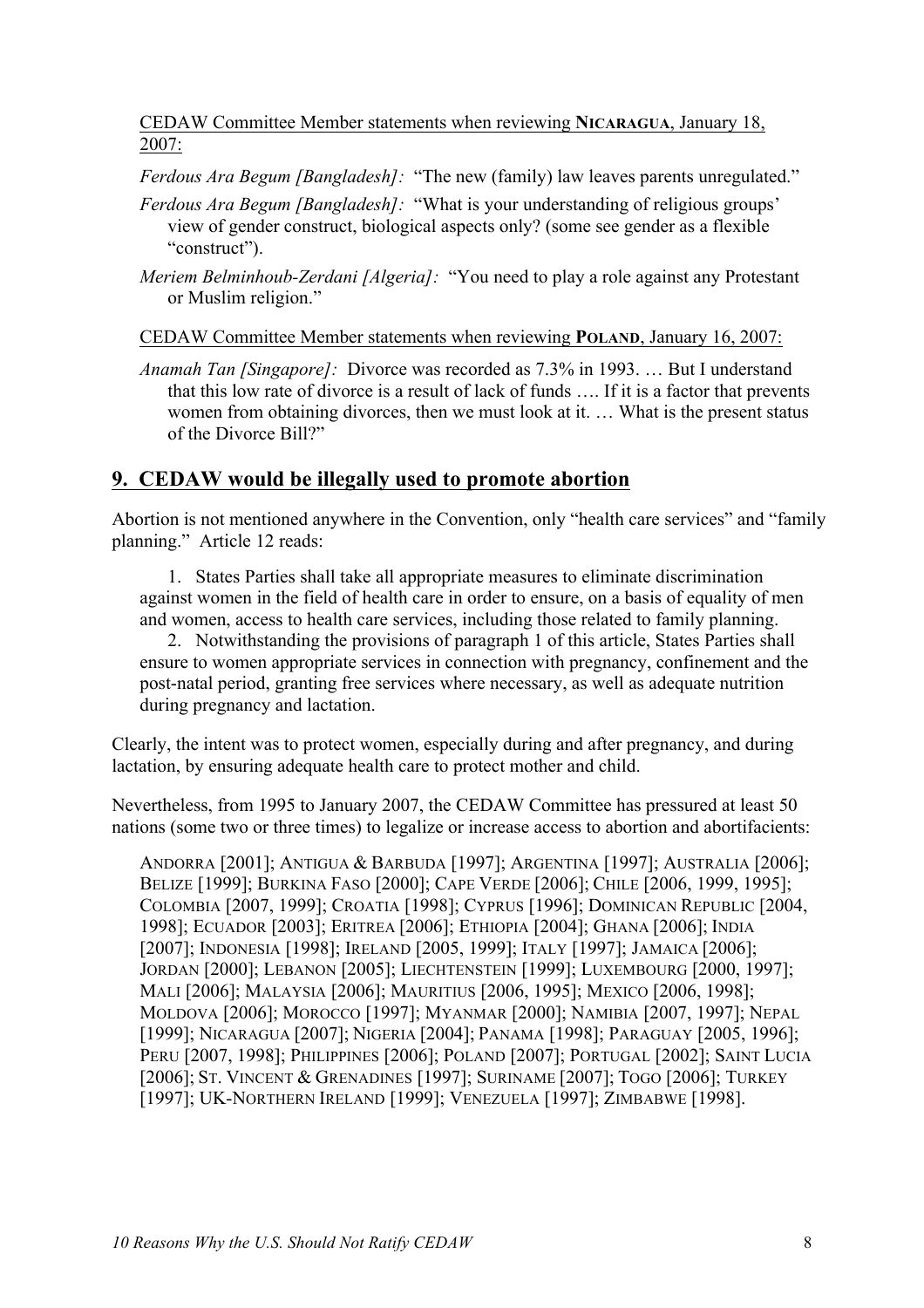## CEDAW Committee Member statements when reviewing **NICARAGUA**, January 18, 2007:

*Ferdous Ara Begum [Bangladesh]:* "The new (family) law leaves parents unregulated."

- *Ferdous Ara Begum [Bangladesh]:* "What is your understanding of religious groups' view of gender construct, biological aspects only? (some see gender as a flexible "construct").
- *Meriem Belminhoub-Zerdani [Algeria]:* "You need to play a role against any Protestant or Muslim religion."

CEDAW Committee Member statements when reviewing **POLAND**, January 16, 2007:

*Anamah Tan [Singapore]:* Divorce was recorded as 7.3% in 1993. … But I understand that this low rate of divorce is a result of lack of funds …. If it is a factor that prevents women from obtaining divorces, then we must look at it. … What is the present status of the Divorce Bill?"

## **9. CEDAW would be illegally used to promote abortion**

Abortion is not mentioned anywhere in the Convention, only "health care services" and "family planning." Article 12 reads:

1. States Parties shall take all appropriate measures to eliminate discrimination against women in the field of health care in order to ensure, on a basis of equality of men and women, access to health care services, including those related to family planning.

2. Notwithstanding the provisions of paragraph 1 of this article, States Parties shall ensure to women appropriate services in connection with pregnancy, confinement and the post-natal period, granting free services where necessary, as well as adequate nutrition during pregnancy and lactation.

Clearly, the intent was to protect women, especially during and after pregnancy, and during lactation, by ensuring adequate health care to protect mother and child.

Nevertheless, from 1995 to January 2007, the CEDAW Committee has pressured at least 50 nations (some two or three times) to legalize or increase access to abortion and abortifacients:

ANDORRA [2001]; ANTIGUA & BARBUDA [1997]; ARGENTINA [1997]; AUSTRALIA [2006]; BELIZE [1999]; BURKINA FASO [2000]; CAPE VERDE [2006]; CHILE [2006, 1999, 1995]; COLOMBIA [2007, 1999]; CROATIA [1998]; CYPRUS [1996]; DOMINICAN REPUBLIC [2004, 1998]; ECUADOR [2003]; ERITREA [2006]; ETHIOPIA [2004]; GHANA [2006]; INDIA [2007]; INDONESIA [1998]; IRELAND [2005, 1999]; ITALY [1997]; JAMAICA [2006]; JORDAN [2000]; LEBANON [2005]; LIECHTENSTEIN [1999]; LUXEMBOURG [2000, 1997]; MALI [2006]; MALAYSIA [2006]; MAURITIUS [2006, 1995]; MEXICO [2006, 1998]; MOLDOVA [2006]; MOROCCO [1997]; MYANMAR [2000]; NAMIBIA [2007, 1997]; NEPAL [1999]; NICARAGUA [2007]; NIGERIA [2004]; PANAMA [1998]; PARAGUAY [2005, 1996]; PERU [2007, 1998]; PHILIPPINES [2006]; POLAND [2007]; PORTUGAL [2002]; SAINT LUCIA [2006]; ST. VINCENT & GRENADINES [1997]; SURINAME [2007]; TOGO [2006]; TURKEY [1997]; UK-NORTHERN IRELAND [1999]; VENEZUELA [1997]; ZIMBABWE [1998].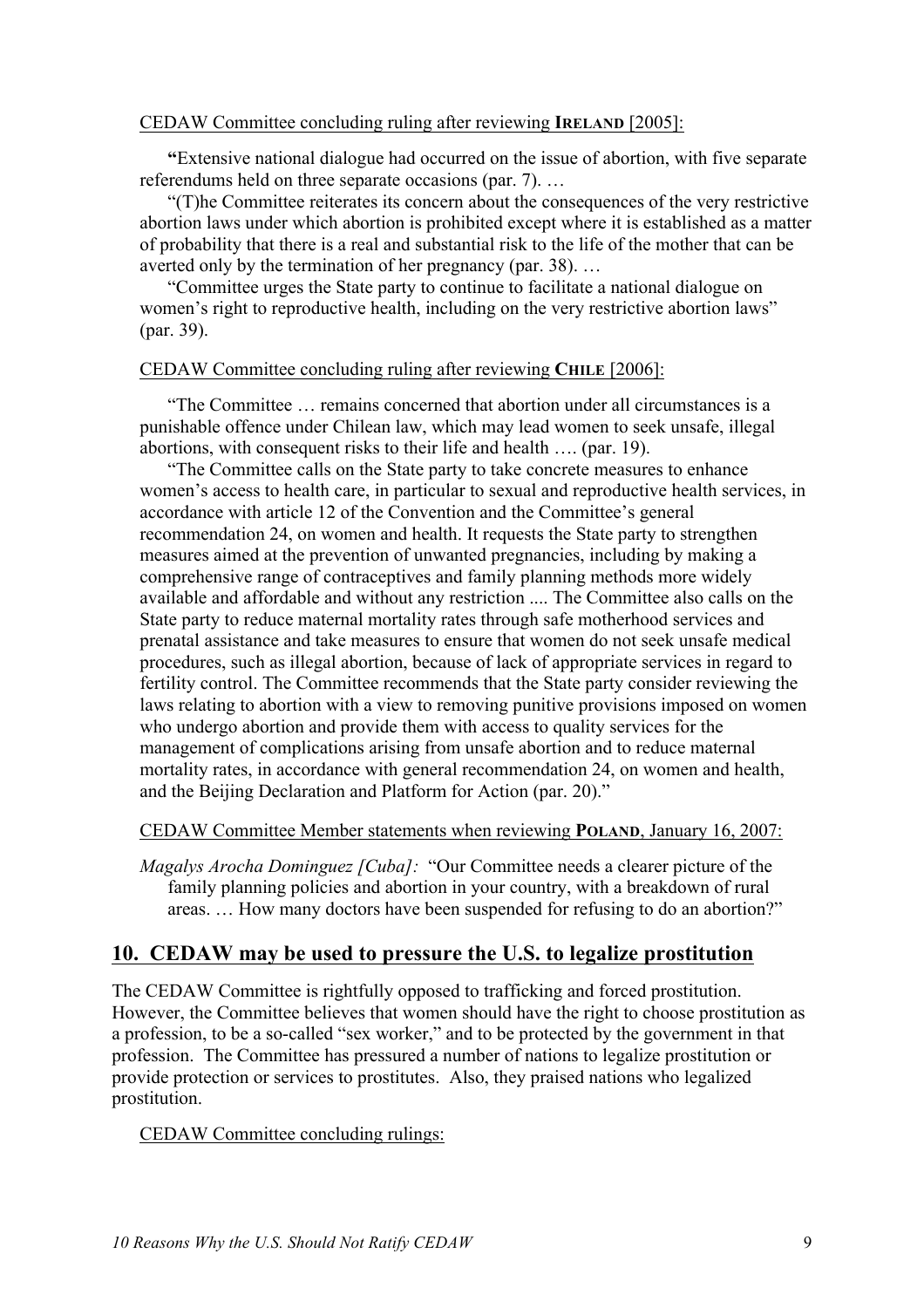#### CEDAW Committee concluding ruling after reviewing **IRELAND** [2005]:

**"**Extensive national dialogue had occurred on the issue of abortion, with five separate referendums held on three separate occasions (par. 7). …

"(T)he Committee reiterates its concern about the consequences of the very restrictive abortion laws under which abortion is prohibited except where it is established as a matter of probability that there is a real and substantial risk to the life of the mother that can be averted only by the termination of her pregnancy (par. 38). …

"Committee urges the State party to continue to facilitate a national dialogue on women's right to reproductive health, including on the very restrictive abortion laws" (par. 39).

#### CEDAW Committee concluding ruling after reviewing **CHILE** [2006]:

"The Committee … remains concerned that abortion under all circumstances is a punishable offence under Chilean law, which may lead women to seek unsafe, illegal abortions, with consequent risks to their life and health …. (par. 19).

"The Committee calls on the State party to take concrete measures to enhance women's access to health care, in particular to sexual and reproductive health services, in accordance with article 12 of the Convention and the Committee's general recommendation 24, on women and health. It requests the State party to strengthen measures aimed at the prevention of unwanted pregnancies, including by making a comprehensive range of contraceptives and family planning methods more widely available and affordable and without any restriction .... The Committee also calls on the State party to reduce maternal mortality rates through safe motherhood services and prenatal assistance and take measures to ensure that women do not seek unsafe medical procedures, such as illegal abortion, because of lack of appropriate services in regard to fertility control. The Committee recommends that the State party consider reviewing the laws relating to abortion with a view to removing punitive provisions imposed on women who undergo abortion and provide them with access to quality services for the management of complications arising from unsafe abortion and to reduce maternal mortality rates, in accordance with general recommendation 24, on women and health, and the Beijing Declaration and Platform for Action (par. 20)."

#### CEDAW Committee Member statements when reviewing **POLAND**, January 16, 2007:

*Magalys Arocha Dominguez [Cuba]:* "Our Committee needs a clearer picture of the family planning policies and abortion in your country, with a breakdown of rural areas. … How many doctors have been suspended for refusing to do an abortion?"

## **10. CEDAW may be used to pressure the U.S. to legalize prostitution**

The CEDAW Committee is rightfully opposed to trafficking and forced prostitution. However, the Committee believes that women should have the right to choose prostitution as a profession, to be a so-called "sex worker," and to be protected by the government in that profession. The Committee has pressured a number of nations to legalize prostitution or provide protection or services to prostitutes. Also, they praised nations who legalized prostitution.

#### CEDAW Committee concluding rulings: